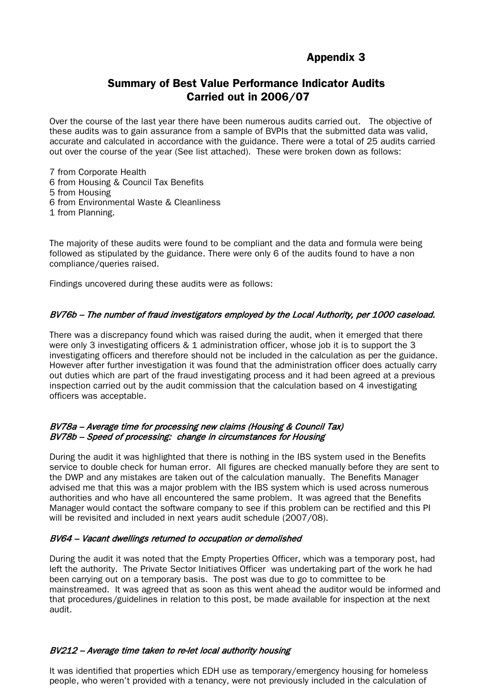# Appendix 3

# Summary of Best Value Performance Indicator Audits Carried out in 2006/07

Over the course of the last year there have been numerous audits carried out. The objective of these audits was to gain assurance from a sample of BVPIs that the submitted data was valid, accurate and calculated in accordance with the guidance. There were a total of 25 audits carried out over the course of the year (See list attached). These were broken down as follows:

7 from Corporate Health

- 6 from Housing & Council Tax Benefits
- 5 from Housing
- 6 from Environmental Waste & Cleanliness
- 1 from Planning.

The majority of these audits were found to be compliant and the data and formula were being followed as stipulated by the guidance. There were only 6 of the audits found to have a non compliance/queries raised.

Findings uncovered during these audits were as follows:

## BV76b – The number of fraud investigators employed by the Local Authority, per 1000 caseload.

There was a discrepancy found which was raised during the audit, when it emerged that there were only 3 investigating officers & 1 administration officer, whose job it is to support the 3 investigating officers and therefore should not be included in the calculation as per the guidance. However after further investigation it was found that the administration officer does actually carry out duties which are part of the fraud investigating process and it had been agreed at a previous inspection carried out by the audit commission that the calculation based on 4 investigating officers was acceptable.

## BV78a – Average time for processing new claims (Housing & Council Tax) BV78b – Speed of processing: change in circumstances for Housing

During the audit it was highlighted that there is nothing in the IBS system used in the Benefits service to double check for human error. All figures are checked manually before they are sent to the DWP and any mistakes are taken out of the calculation manually. The Benefits Manager advised me that this was a major problem with the IBS system which is used across numerous authorities and who have all encountered the same problem. It was agreed that the Benefits Manager would contact the software company to see if this problem can be rectified and this PI will be revisited and included in next years audit schedule (2007/08).

#### BV64 – Vacant dwellings returned to occupation or demolished

During the audit it was noted that the Empty Properties Officer, which was a temporary post, had left the authority. The Private Sector Initiatives Officer was undertaking part of the work he had been carrying out on a temporary basis. The post was due to go to committee to be mainstreamed. It was agreed that as soon as this went ahead the auditor would be informed and that procedures/guidelines in relation to this post, be made available for inspection at the next audit.

#### BV212 – Average time taken to re-let local authority housing

It was identified that properties which EDH use as temporary/emergency housing for homeless people, who weren't provided with a tenancy, were not previously included in the calculation of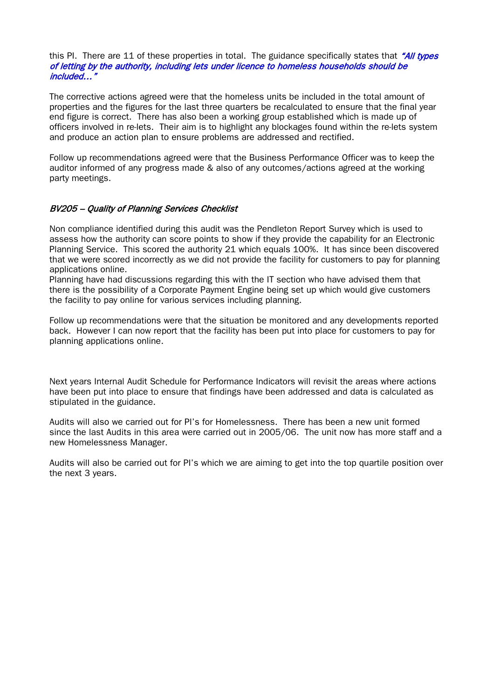#### this PI. There are 11 of these properties in total. The guidance specifically states that "All types of letting by the authority, including lets under licence to homeless households should be included…"

The corrective actions agreed were that the homeless units be included in the total amount of properties and the figures for the last three quarters be recalculated to ensure that the final year end figure is correct. There has also been a working group established which is made up of officers involved in re-lets. Their aim is to highlight any blockages found within the re-lets system and produce an action plan to ensure problems are addressed and rectified.

Follow up recommendations agreed were that the Business Performance Officer was to keep the auditor informed of any progress made & also of any outcomes/actions agreed at the working party meetings.

## BV205 – Quality of Planning Services Checklist

Non compliance identified during this audit was the Pendleton Report Survey which is used to assess how the authority can score points to show if they provide the capability for an Electronic Planning Service. This scored the authority 21 which equals 100%. It has since been discovered that we were scored incorrectly as we did not provide the facility for customers to pay for planning applications online.

Planning have had discussions regarding this with the IT section who have advised them that there is the possibility of a Corporate Payment Engine being set up which would give customers the facility to pay online for various services including planning.

Follow up recommendations were that the situation be monitored and any developments reported back. However I can now report that the facility has been put into place for customers to pay for planning applications online.

Next years Internal Audit Schedule for Performance Indicators will revisit the areas where actions have been put into place to ensure that findings have been addressed and data is calculated as stipulated in the guidance.

Audits will also we carried out for PI's for Homelessness. There has been a new unit formed since the last Audits in this area were carried out in 2005/06. The unit now has more staff and a new Homelessness Manager.

Audits will also be carried out for PI's which we are aiming to get into the top quartile position over the next 3 years.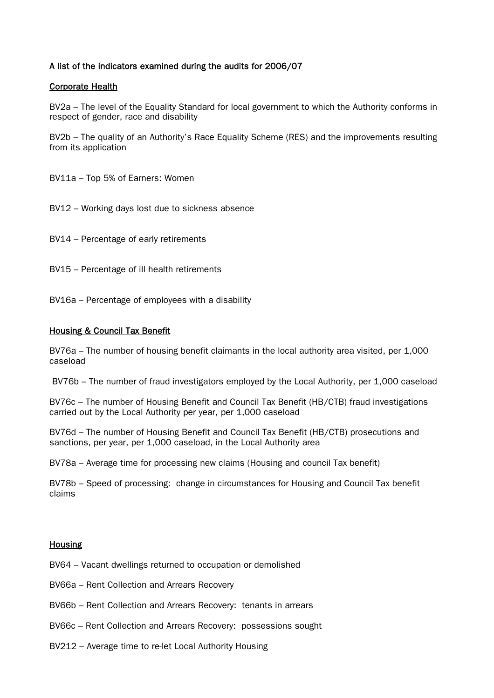# A list of the indicators examined during the audits for 2006/07

## Corporate Health

BV2a – The level of the Equality Standard for local government to which the Authority conforms in respect of gender, race and disability

BV2b – The quality of an Authority's Race Equality Scheme (RES) and the improvements resulting from its application

BV11a – Top 5% of Earners: Women

BV12 – Working days lost due to sickness absence

BV14 – Percentage of early retirements

BV15 – Percentage of ill health retirements

BV16a – Percentage of employees with a disability

## Housing & Council Tax Benefit

BV76a – The number of housing benefit claimants in the local authority area visited, per 1,000 caseload

BV76b – The number of fraud investigators employed by the Local Authority, per 1,000 caseload

BV76c – The number of Housing Benefit and Council Tax Benefit (HB/CTB) fraud investigations carried out by the Local Authority per year, per 1,000 caseload

BV76d – The number of Housing Benefit and Council Tax Benefit (HB/CTB) prosecutions and sanctions, per year, per 1,000 caseload, in the Local Authority area

BV78a – Average time for processing new claims (Housing and council Tax benefit)

BV78b – Speed of processing: change in circumstances for Housing and Council Tax benefit claims

#### Housing

BV64 – Vacant dwellings returned to occupation or demolished

- BV66a Rent Collection and Arrears Recovery
- BV66b Rent Collection and Arrears Recovery: tenants in arrears
- BV66c Rent Collection and Arrears Recovery: possessions sought
- BV212 Average time to re-let Local Authority Housing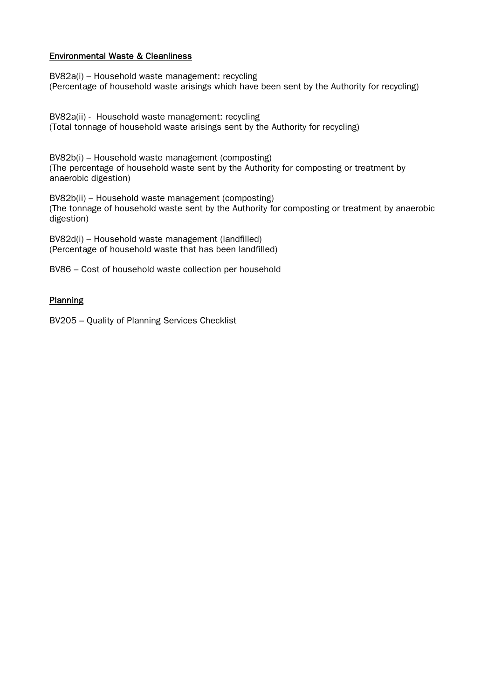## Environmental Waste & Cleanliness

BV82a(i) – Household waste management: recycling (Percentage of household waste arisings which have been sent by the Authority for recycling)

BV82a(ii) - Household waste management: recycling (Total tonnage of household waste arisings sent by the Authority for recycling)

BV82b(i) – Household waste management (composting) (The percentage of household waste sent by the Authority for composting or treatment by anaerobic digestion)

BV82b(ii) – Household waste management (composting) (The tonnage of household waste sent by the Authority for composting or treatment by anaerobic digestion)

BV82d(i) – Household waste management (landfilled) (Percentage of household waste that has been landfilled)

BV86 – Cost of household waste collection per household

## **Planning**

BV205 – Quality of Planning Services Checklist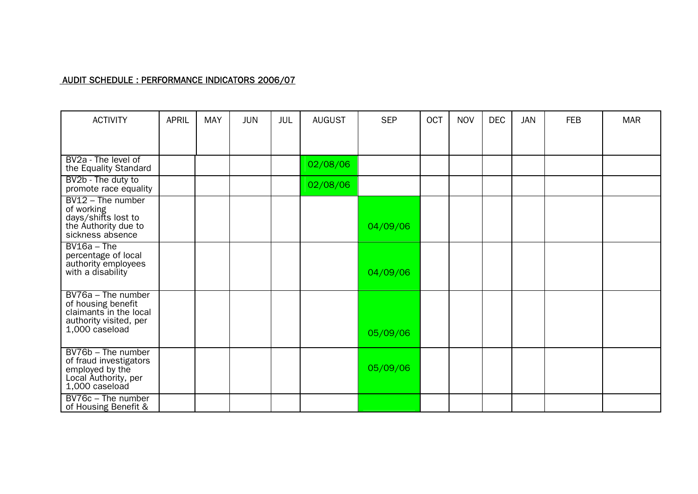# AUDIT SCHEDULE : PERFORMANCE INDICATORS 2006/07

| <b>ACTIVITY</b>                                                                                                | <b>APRIL</b> | <b>MAY</b> | <b>JUN</b> | JUL | <b>AUGUST</b> | <b>SEP</b> | <b>OCT</b> | <b>NOV</b> | <b>DEC</b> | <b>JAN</b> | <b>FEB</b> | <b>MAR</b> |
|----------------------------------------------------------------------------------------------------------------|--------------|------------|------------|-----|---------------|------------|------------|------------|------------|------------|------------|------------|
|                                                                                                                |              |            |            |     |               |            |            |            |            |            |            |            |
| BV2a - The level of<br>the Equality Standard                                                                   |              |            |            |     | 02/08/06      |            |            |            |            |            |            |            |
| BV2b - The duty to<br>promote race equality                                                                    |              |            |            |     | 02/08/06      |            |            |            |            |            |            |            |
| $BV12$ – The number<br>of working<br>days/shifts lost to<br>the Authority due to<br>sickness absence           |              |            |            |     |               | 04/09/06   |            |            |            |            |            |            |
| $BV16a - The$<br>percentage of local<br>authority employees<br>with a disability                               |              |            |            |     |               | 04/09/06   |            |            |            |            |            |            |
| BV76a - The number<br>of housing benefit<br>claimants in the local<br>authority visited, per<br>1,000 caseload |              |            |            |     |               | 05/09/06   |            |            |            |            |            |            |
| BV76b - The number<br>of fraud investigators<br>employed by the<br>Local Authority, per<br>1,000 caseload      |              |            |            |     |               | 05/09/06   |            |            |            |            |            |            |
| $\overline{BV76c}$ – The number<br>of Housing Benefit &                                                        |              |            |            |     |               |            |            |            |            |            |            |            |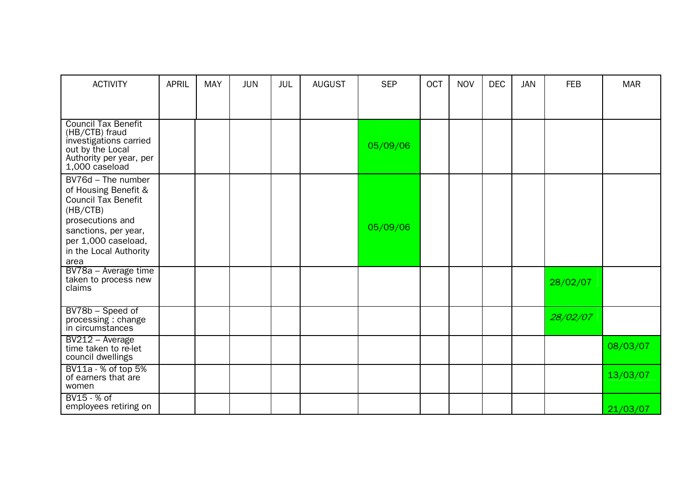| <b>ACTIVITY</b>                                                                                                                                                                           | <b>APRIL</b> | <b>MAY</b> | <b>JUN</b> | JUL | <b>AUGUST</b> | <b>SEP</b> | OCT | <b>NOV</b> | <b>DEC</b> | <b>JAN</b> | <b>FEB</b> | <b>MAR</b> |
|-------------------------------------------------------------------------------------------------------------------------------------------------------------------------------------------|--------------|------------|------------|-----|---------------|------------|-----|------------|------------|------------|------------|------------|
|                                                                                                                                                                                           |              |            |            |     |               |            |     |            |            |            |            |            |
| <b>Council Tax Benefit</b><br>(HB/CTB) fraud<br>investigations carried<br>out by the Local<br>Authority per year, per<br>1,000 caseload                                                   |              |            |            |     |               | 05/09/06   |     |            |            |            |            |            |
| BV76d - The number<br>of Housing Benefit &<br><b>Council Tax Benefit</b><br>(HB/CTB)<br>prosecutions and<br>sanctions, per year,<br>per 1,000 caseload,<br>in the Local Authority<br>area |              |            |            |     |               | 05/09/06   |     |            |            |            |            |            |
| BV78a - Average time<br>taken to process new<br>claims                                                                                                                                    |              |            |            |     |               |            |     |            |            |            | 28/02/07   |            |
| BV78b - Speed of<br>processing: change<br>in circumstances                                                                                                                                |              |            |            |     |               |            |     |            |            |            | 28/02/07   |            |
| BV212 - Average<br>time taken to re-let<br>council dwellings                                                                                                                              |              |            |            |     |               |            |     |            |            |            |            | 08/03/07   |
| BV11a - % of top 5%<br>of earners that are<br>women                                                                                                                                       |              |            |            |     |               |            |     |            |            |            |            | 13/03/07   |
| BV15 - % of<br>employees retiring on                                                                                                                                                      |              |            |            |     |               |            |     |            |            |            |            | 21/03/07   |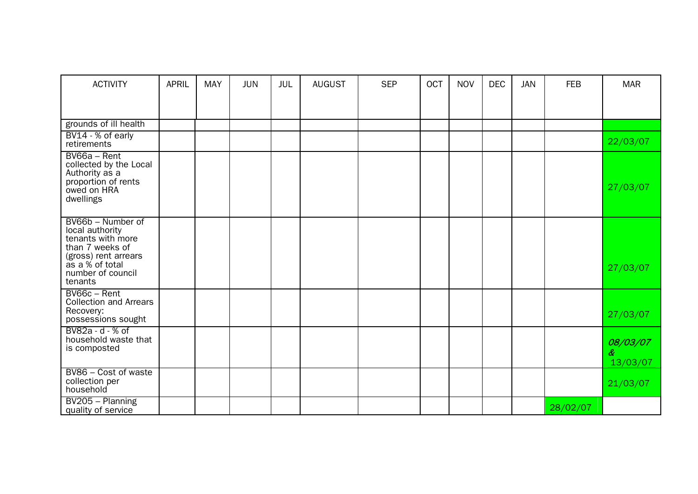| <b>ACTIVITY</b>                                                                                                                                         | <b>APRIL</b> | <b>MAY</b> | <b>JUN</b> | <b>JUL</b> | <b>AUGUST</b> | <b>SEP</b> | <b>OCT</b> | <b>NOV</b> | <b>DEC</b> | <b>JAN</b> | <b>FEB</b> | <b>MAR</b>                |
|---------------------------------------------------------------------------------------------------------------------------------------------------------|--------------|------------|------------|------------|---------------|------------|------------|------------|------------|------------|------------|---------------------------|
|                                                                                                                                                         |              |            |            |            |               |            |            |            |            |            |            |                           |
| grounds of ill health                                                                                                                                   |              |            |            |            |               |            |            |            |            |            |            |                           |
| BV14 - % of early<br>retirements                                                                                                                        |              |            |            |            |               |            |            |            |            |            |            | 22/03/07                  |
| BV66a - Rent<br>collected by the Local<br>Authority as a<br>proportion of rents<br>owed on HRA<br>dwellings                                             |              |            |            |            |               |            |            |            |            |            |            | 27/03/07                  |
| BV66b - Number of<br>local authority<br>tenants with more<br>than 7 weeks of<br>(gross) rent arrears<br>as a % of total<br>number of council<br>tenants |              |            |            |            |               |            |            |            |            |            |            | 27/03/07                  |
| BV66c - Rent<br><b>Collection and Arrears</b><br>Recovery:<br>possessions sought                                                                        |              |            |            |            |               |            |            |            |            |            |            | 27/03/07                  |
| BV82a - d - % of<br>household waste that<br>is composted                                                                                                |              |            |            |            |               |            |            |            |            |            |            | 08/03/07<br>&<br>13/03/07 |
| BV86 - Cost of waste<br>collection per<br>household                                                                                                     |              |            |            |            |               |            |            |            |            |            |            | 21/03/07                  |
| BV205 - Planning<br>quality of service                                                                                                                  |              |            |            |            |               |            |            |            |            |            | 28/02/07   |                           |